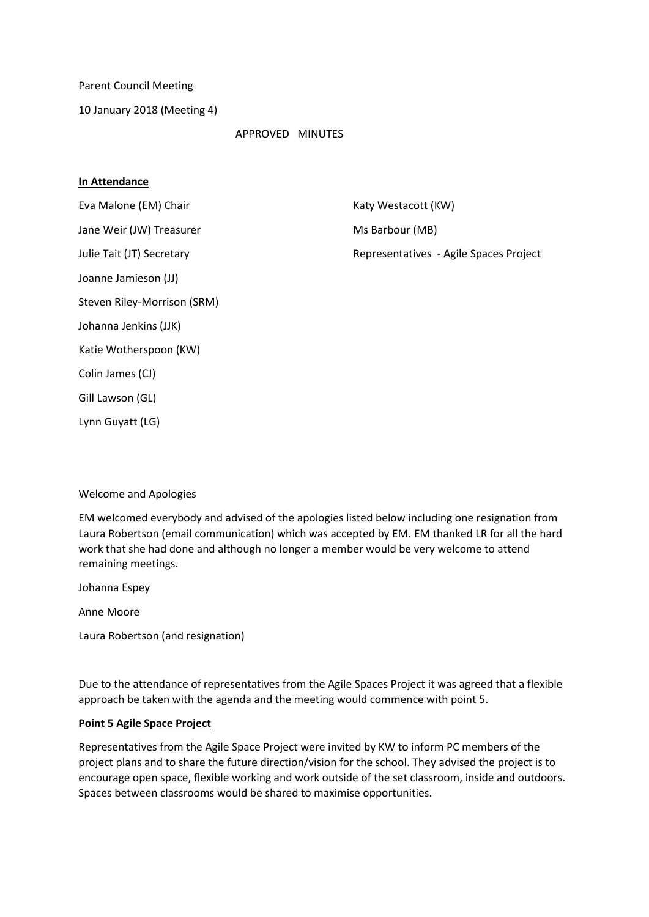Parent Council Meeting

10 January 2018 (Meeting 4)

#### APPROVED MINUTES

#### **In Attendance**

Eva Malone (EM) Chair Katy Westacott (KW) Jane Weir (JW) Treasurer Music Communication of Ms Barbour (MB)

Julie Tait (JT) Secretary **Representatives** - Agile Spaces Project

Johanna Jenkins (JJK)

Steven Riley-Morrison (SRM)

Joanne Jamieson (JJ)

Katie Wotherspoon (KW)

Colin James (CJ)

Gill Lawson (GL)

Lynn Guyatt (LG)

### Welcome and Apologies

EM welcomed everybody and advised of the apologies listed below including one resignation from Laura Robertson (email communication) which was accepted by EM. EM thanked LR for all the hard work that she had done and although no longer a member would be very welcome to attend remaining meetings.

Johanna Espey

Anne Moore

Laura Robertson (and resignation)

Due to the attendance of representatives from the Agile Spaces Project it was agreed that a flexible approach be taken with the agenda and the meeting would commence with point 5.

### **Point 5 Agile Space Project**

Representatives from the Agile Space Project were invited by KW to inform PC members of the project plans and to share the future direction/vision for the school. They advised the project is to encourage open space, flexible working and work outside of the set classroom, inside and outdoors. Spaces between classrooms would be shared to maximise opportunities.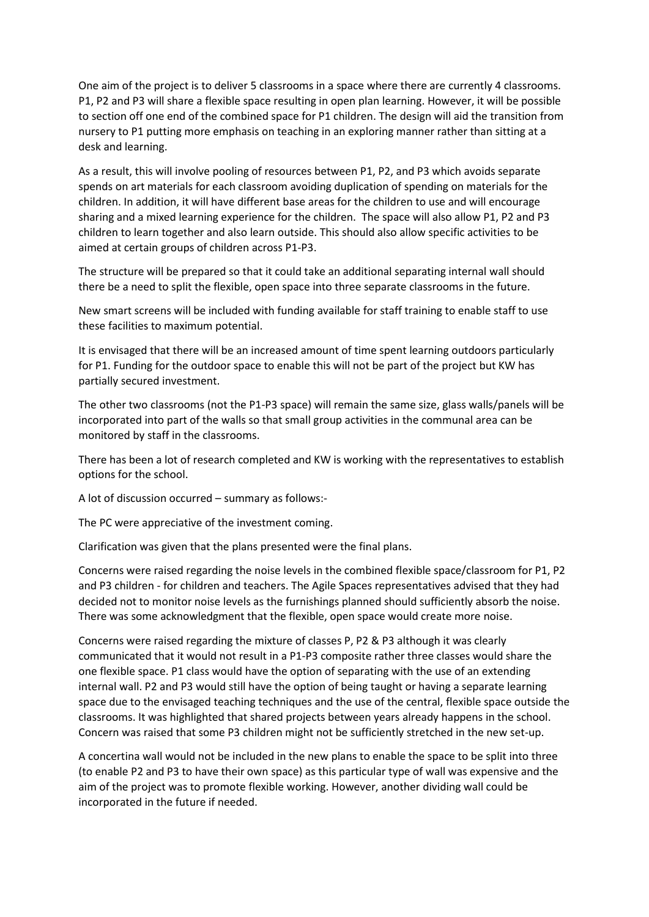One aim of the project is to deliver 5 classrooms in a space where there are currently 4 classrooms. P1, P2 and P3 will share a flexible space resulting in open plan learning. However, it will be possible to section off one end of the combined space for P1 children. The design will aid the transition from nursery to P1 putting more emphasis on teaching in an exploring manner rather than sitting at a desk and learning.

As a result, this will involve pooling of resources between P1, P2, and P3 which avoids separate spends on art materials for each classroom avoiding duplication of spending on materials for the children. In addition, it will have different base areas for the children to use and will encourage sharing and a mixed learning experience for the children. The space will also allow P1, P2 and P3 children to learn together and also learn outside. This should also allow specific activities to be aimed at certain groups of children across P1-P3.

The structure will be prepared so that it could take an additional separating internal wall should there be a need to split the flexible, open space into three separate classrooms in the future.

New smart screens will be included with funding available for staff training to enable staff to use these facilities to maximum potential.

It is envisaged that there will be an increased amount of time spent learning outdoors particularly for P1. Funding for the outdoor space to enable this will not be part of the project but KW has partially secured investment.

The other two classrooms (not the P1-P3 space) will remain the same size, glass walls/panels will be incorporated into part of the walls so that small group activities in the communal area can be monitored by staff in the classrooms.

There has been a lot of research completed and KW is working with the representatives to establish options for the school.

A lot of discussion occurred – summary as follows:-

The PC were appreciative of the investment coming.

Clarification was given that the plans presented were the final plans.

Concerns were raised regarding the noise levels in the combined flexible space/classroom for P1, P2 and P3 children - for children and teachers. The Agile Spaces representatives advised that they had decided not to monitor noise levels as the furnishings planned should sufficiently absorb the noise. There was some acknowledgment that the flexible, open space would create more noise.

Concerns were raised regarding the mixture of classes P, P2 & P3 although it was clearly communicated that it would not result in a P1-P3 composite rather three classes would share the one flexible space. P1 class would have the option of separating with the use of an extending internal wall. P2 and P3 would still have the option of being taught or having a separate learning space due to the envisaged teaching techniques and the use of the central, flexible space outside the classrooms. It was highlighted that shared projects between years already happens in the school. Concern was raised that some P3 children might not be sufficiently stretched in the new set-up.

A concertina wall would not be included in the new plans to enable the space to be split into three (to enable P2 and P3 to have their own space) as this particular type of wall was expensive and the aim of the project was to promote flexible working. However, another dividing wall could be incorporated in the future if needed.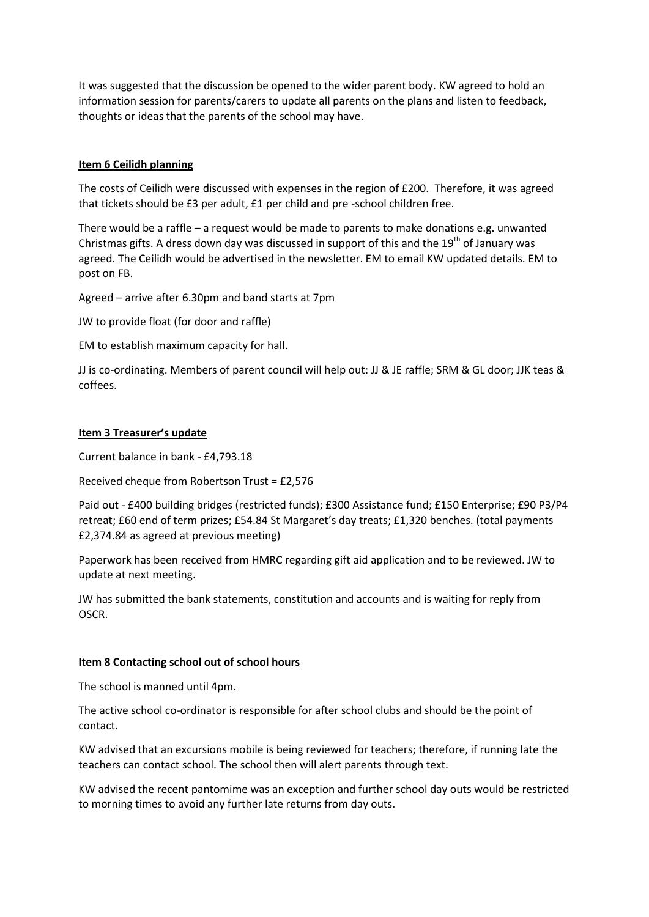It was suggested that the discussion be opened to the wider parent body. KW agreed to hold an information session for parents/carers to update all parents on the plans and listen to feedback, thoughts or ideas that the parents of the school may have.

# **Item 6 Ceilidh planning**

The costs of Ceilidh were discussed with expenses in the region of £200. Therefore, it was agreed that tickets should be £3 per adult, £1 per child and pre -school children free.

There would be a raffle – a request would be made to parents to make donations e.g. unwanted Christmas gifts. A dress down day was discussed in support of this and the 19<sup>th</sup> of January was agreed. The Ceilidh would be advertised in the newsletter. EM to email KW updated details. EM to post on FB.

Agreed – arrive after 6.30pm and band starts at 7pm

JW to provide float (for door and raffle)

EM to establish maximum capacity for hall.

JJ is co-ordinating. Members of parent council will help out: JJ & JE raffle; SRM & GL door; JJK teas & coffees.

# **Item 3 Treasurer's update**

Current balance in bank - £4,793.18

Received cheque from Robertson Trust = £2,576

Paid out - £400 building bridges (restricted funds); £300 Assistance fund; £150 Enterprise; £90 P3/P4 retreat; £60 end of term prizes; £54.84 St Margaret's day treats; £1,320 benches. (total payments £2,374.84 as agreed at previous meeting)

Paperwork has been received from HMRC regarding gift aid application and to be reviewed. JW to update at next meeting.

JW has submitted the bank statements, constitution and accounts and is waiting for reply from OSCR.

### **Item 8 Contacting school out of school hours**

The school is manned until 4pm.

The active school co-ordinator is responsible for after school clubs and should be the point of contact.

KW advised that an excursions mobile is being reviewed for teachers; therefore, if running late the teachers can contact school. The school then will alert parents through text.

KW advised the recent pantomime was an exception and further school day outs would be restricted to morning times to avoid any further late returns from day outs.